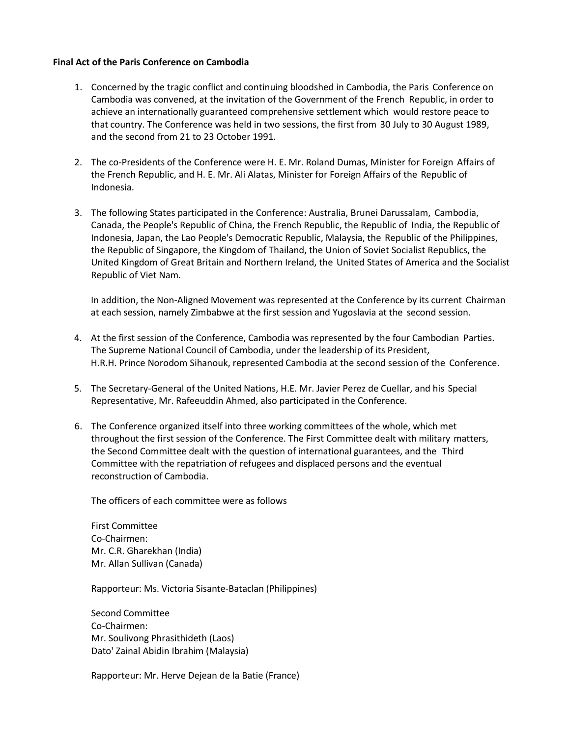## **Final Act of the Paris Conference on Cambodia**

- 1. Concerned by the tragic conflict and continuing bloodshed in Cambodia, the Paris Conference on Cambodia was convened, at the invitation of the Government of the French Republic, in order to achieve an internationally guaranteed comprehensive settlement which would restore peace to that country. The Conference was held in two sessions, the first from 30 July to 30 August 1989, and the second from 21 to 23 October 1991.
- 2. The co-Presidents of the Conference were H. E. Mr. Roland Dumas, Minister for Foreign Affairs of the French Republic, and H. E. Mr. Ali Alatas, Minister for Foreign Affairs of the Republic of Indonesia.
- 3. The following States participated in the Conference: Australia, Brunei Darussalam, Cambodia, Canada, the People's Republic of China, the French Republic, the Republic of India, the Republic of Indonesia, Japan, the Lao People's Democratic Republic, Malaysia, the Republic of the Philippines, the Republic of Singapore, the Kingdom of Thailand, the Union of Soviet Socialist Republics, the United Kingdom of Great Britain and Northern Ireland, the United States of America and the Socialist Republic of Viet Nam.

In addition, the Non-Aligned Movement was represented at the Conference by its current Chairman at each session, namely Zimbabwe at the first session and Yugoslavia at the second session.

- 4. At the first session of the Conference, Cambodia was represented by the four Cambodian Parties. The Supreme National Council of Cambodia, under the leadership of its President, H.R.H. Prince Norodom Sihanouk, represented Cambodia at the second session of the Conference.
- 5. The Secretary-General of the United Nations, H.E. Mr. Javier Perez de Cuellar, and his Special Representative, Mr. Rafeeuddin Ahmed, also participated in the Conference.
- 6. The Conference organized itself into three working committees of the whole, which met throughout the first session of the Conference. The First Committee dealt with military matters, the Second Committee dealt with the question of international guarantees, and the Third Committee with the repatriation of refugees and displaced persons and the eventual reconstruction of Cambodia.

The officers of each committee were as follows

First Committee Co-Chairmen: Mr. C.R. Gharekhan (India) Mr. Allan Sullivan (Canada)

Rapporteur: Ms. Victoria Sisante-Bataclan (Philippines)

Second Committee Co-Chairmen: Mr. Soulivong Phrasithideth (Laos) Dato' Zainal Abidin Ibrahim (Malaysia)

Rapporteur: Mr. Herve Dejean de la Batie (France)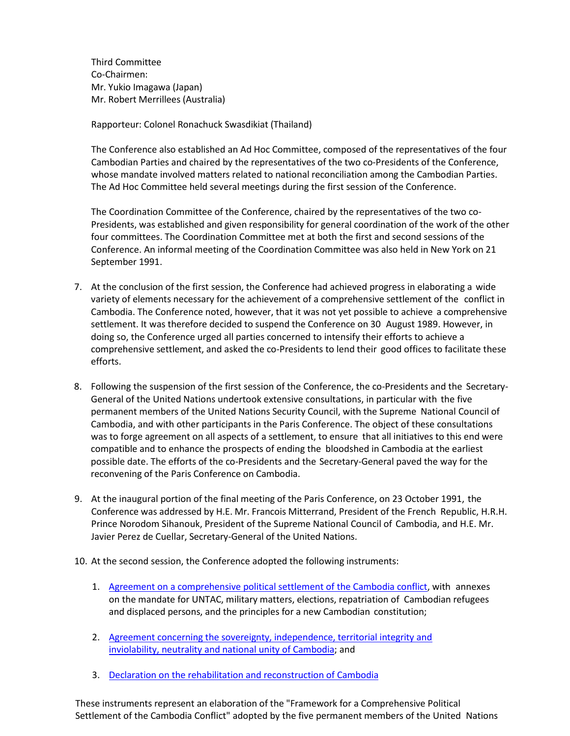Third Committee Co-Chairmen: Mr. Yukio Imagawa (Japan) Mr. Robert Merrillees (Australia)

Rapporteur: Colonel Ronachuck Swasdikiat (Thailand)

The Conference also established an Ad Hoc Committee, composed of the representatives of the four Cambodian Parties and chaired by the representatives of the two co-Presidents of the Conference, whose mandate involved matters related to national reconciliation among the Cambodian Parties. The Ad Hoc Committee held several meetings during the first session of the Conference.

The Coordination Committee of the Conference, chaired by the representatives of the two co-Presidents, was established and given responsibility for general coordination of the work of the other four committees. The Coordination Committee met at both the first and second sessions of the Conference. An informal meeting of the Coordination Committee was also held in New York on 21 September 1991.

- 7. At the conclusion of the first session, the Conference had achieved progress in elaborating a wide variety of elements necessary for the achievement of a comprehensive settlement of the conflict in Cambodia. The Conference noted, however, that it was not yet possible to achieve a comprehensive settlement. It was therefore decided to suspend the Conference on 30 August 1989. However, in doing so, the Conference urged all parties concerned to intensify their efforts to achieve a comprehensive settlement, and asked the co-Presidents to lend their good offices to facilitate these efforts.
- 8. Following the suspension of the first session of the Conference, the co-Presidents and the Secretary-General of the United Nations undertook extensive consultations, in particular with the five permanent members of the United Nations Security Council, with the Supreme National Council of Cambodia, and with other participants in the Paris Conference. The object of these consultations was to forge agreement on all aspects of a settlement, to ensure that all initiatives to this end were compatible and to enhance the prospects of ending the bloodshed in Cambodia at the earliest possible date. The efforts of the co-Presidents and the Secretary-General paved the way for the reconvening of the Paris Conference on Cambodia.
- 9. At the inaugural portion of the final meeting of the Paris Conference, on 23 October 1991, the Conference was addressed by H.E. Mr. Francois Mitterrand, President of the French Republic, H.R.H. Prince Norodom Sihanouk, President of the Supreme National Council of Cambodia, and H.E. Mr. Javier Perez de Cuellar, Secretary-General of the United Nations.
- 10. At the second session, the Conference adopted the following instruments:
	- 1. Agreement on a comprehensive political [settlement of the Cambodia](http://www.usip.org/library/pa/cambodia/agree_comppol_10231991_toc.html) conflict, with annexes on the mandate for UNTAC, military matters, elections, repatriation of Cambodian refugees and displaced persons, and the principles for a new Cambodian constitution;
	- 2. Agreement concerning the sovereignty, [independence, territorial integrity and](http://www.usip.org/library/pa/cambodia/agree_sovereign_10231991.html) [inviolability, neutrality and national](http://www.usip.org/library/pa/cambodia/agree_sovereign_10231991.html) unity of Cambodia; and
	- 3. Declaration on the rehabilitation [and reconstruction of Cambodia](http://www.usip.org/library/pa/cambodia/declaration_rehab_10231991.html)

These instruments represent an elaboration of the "Framework for a Comprehensive Political Settlement of the Cambodia Conflict" adopted by the five permanent members of the United Nations